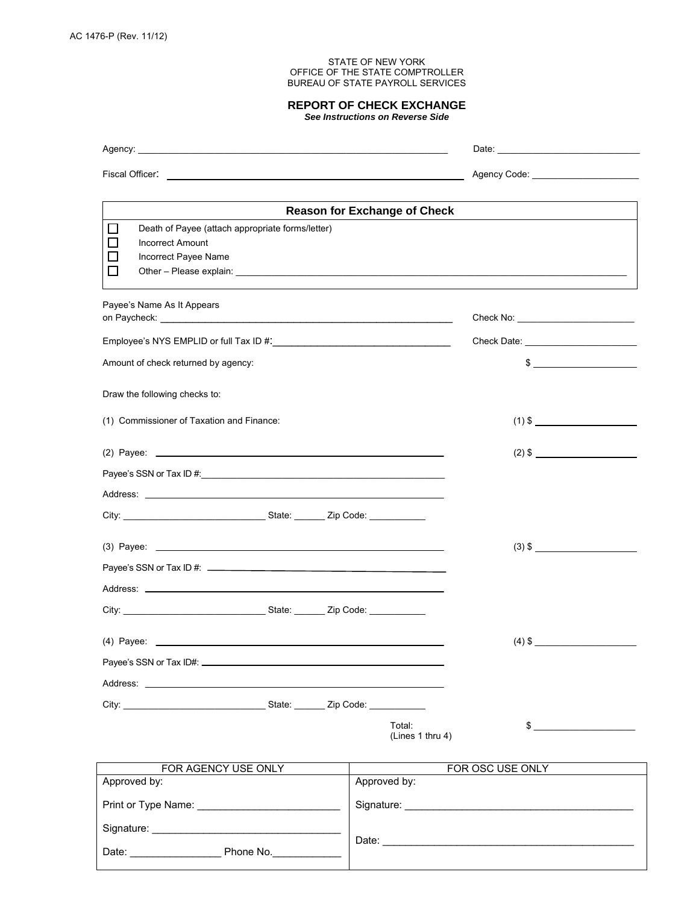Date: \_\_\_\_\_\_\_\_\_\_\_\_\_\_\_\_ Phone No.\_\_\_\_\_\_\_\_\_\_\_\_

## STATE OF NEW YORK OFFICE OF THE STATE COMPTROLLER BUREAU OF STATE PAYROLL SERVICES

## **REPORT OF CHECK EXCHANGE**

*See Instructions on Reverse Side*

| $\Box$<br>Death of Payee (attach appropriate forms/letter)<br><b>Incorrect Amount</b><br>Incorrect Payee Name                                                                                                                  | <b>Reason for Exchange of Check</b> |
|--------------------------------------------------------------------------------------------------------------------------------------------------------------------------------------------------------------------------------|-------------------------------------|
| Payee's Name As It Appears                                                                                                                                                                                                     |                                     |
| Amount of check returned by agency:                                                                                                                                                                                            | $\frac{1}{2}$                       |
| Draw the following checks to:                                                                                                                                                                                                  | $(1)$ \$                            |
| (1) Commissioner of Taxation and Finance:                                                                                                                                                                                      |                                     |
|                                                                                                                                                                                                                                |                                     |
|                                                                                                                                                                                                                                |                                     |
|                                                                                                                                                                                                                                |                                     |
| $(3)$ \$                                                                                                                                                                                                                       |                                     |
|                                                                                                                                                                                                                                |                                     |
|                                                                                                                                                                                                                                |                                     |
| $(4)$ \$                                                                                                                                                                                                                       |                                     |
| Address: the contract of the contract of the contract of the contract of the contract of the contract of the contract of the contract of the contract of the contract of the contract of the contract of the contract of the c |                                     |
|                                                                                                                                                                                                                                |                                     |
|                                                                                                                                                                                                                                | Total:<br>\$<br>(Lines 1 thru 4)    |
| FOR AGENCY USE ONLY                                                                                                                                                                                                            | FOR OSC USE ONLY                    |
| Approved by:                                                                                                                                                                                                                   | Approved by:                        |
|                                                                                                                                                                                                                                |                                     |
|                                                                                                                                                                                                                                | Date:                               |